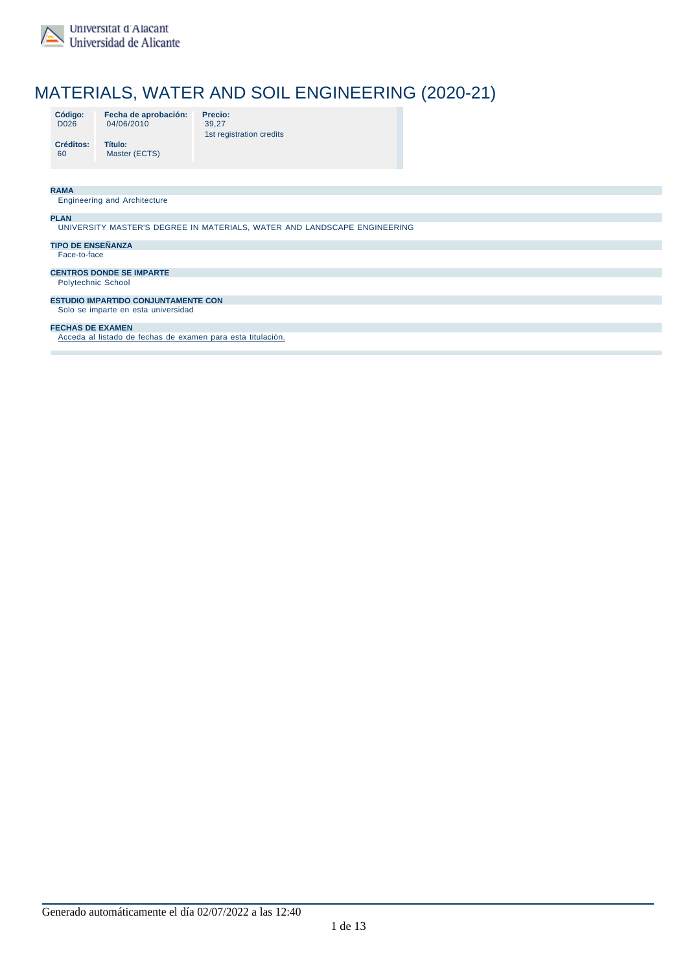

# MATERIALS, WATER AND SOIL ENGINEERING (2020-21)

| Código: |  |
|---------|--|
| D026    |  |

**Créditos:** 60

**Fecha de aprobación: Precio:** 39,27

1st registration credits

#### **RAMA**

Engineering and Architecture

**Título:** Master (ECTS)

04/06/2010

### **PLAN**

÷

UNIVERSITY MASTER'S DEGREE IN MATERIALS, WATER AND LANDSCAPE ENGINEERING

# **TIPO DE ENSEÑANZA**

Face-to-face

# **CENTROS DONDE SE IMPARTE**

Polytechnic School

# **ESTUDIO IMPARTIDO CONJUNTAMENTE CON**

Solo se imparte en esta universidad

# **FECHAS DE EXAMEN**

[Acceda al listado de fechas de examen para esta titulación.](http://cv1.cpd.ua.es/consplanesestudio/cvFechaExa.asp?pCodEst=D026&plengua=I&pCaca=2020-21)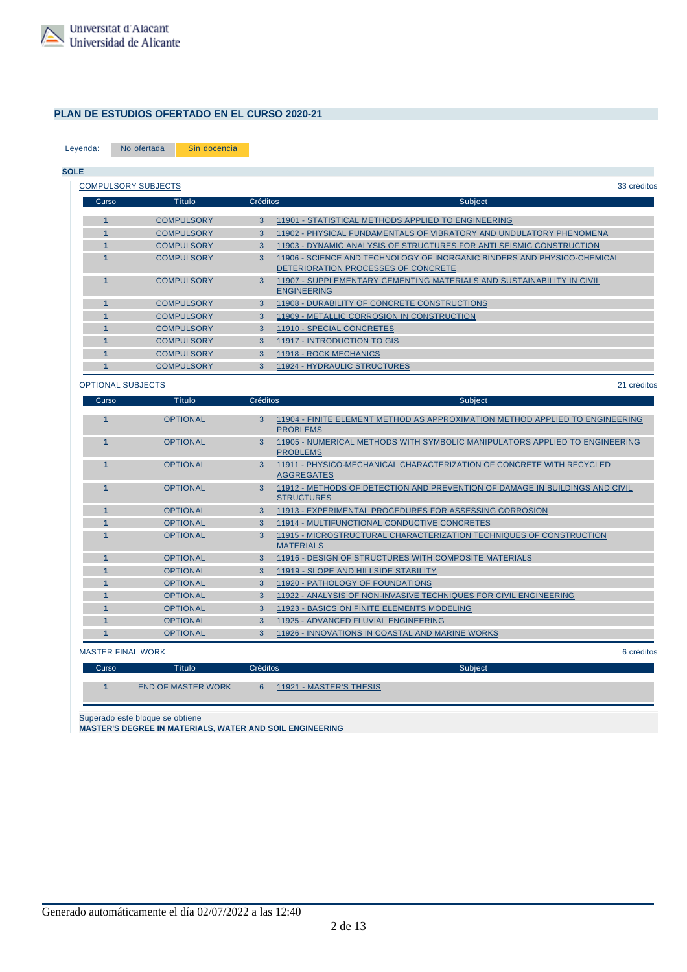

# **PLAN DE ESTUDIOS OFERTADO EN EL CURSO 2020-21**

|                      | <b>COMPULSORY SUBJECTS</b> |                   |   | 33 créditos                                                                                                     |
|----------------------|----------------------------|-------------------|---|-----------------------------------------------------------------------------------------------------------------|
| Curso                |                            | Título            |   | Créditos<br>Subject                                                                                             |
| 1                    |                            | <b>COMPULSORY</b> | 3 | 11901 - STATISTICAL METHODS APPLIED TO ENGINEERING                                                              |
| $\blacktriangleleft$ |                            | <b>COMPULSORY</b> | 3 | 11902 - PHYSICAL FUNDAMENTALS OF VIBRATORY AND UNDULATORY PHENOMENA                                             |
| $\overline{1}$       |                            | <b>COMPULSORY</b> | 3 | 11903 - DYNAMIC ANALYSIS OF STRUCTURES FOR ANTI SEISMIC CONSTRUCTION                                            |
| $\mathbf{1}$         |                            | <b>COMPULSORY</b> | 3 | 11906 - SCIENCE AND TECHNOLOGY OF INORGANIC BINDERS AND PHYSICO-CHEMICAL<br>DETERIORATION PROCESSES OF CONCRETE |
| $\mathbf{1}$         |                            | <b>COMPULSORY</b> | 3 | 11907 - SUPPLEMENTARY CEMENTING MATERIALS AND SUSTAINABILITY IN CIVIL<br><b>ENGINEERING</b>                     |
| $\mathbf{1}$         |                            | <b>COMPULSORY</b> |   | 11908 - DURABILITY OF CONCRETE CONSTRUCTIONS<br>3                                                               |
| $\mathbf{1}$         |                            | <b>COMPULSORY</b> | 3 | 11909 - METALLIC CORROSION IN CONSTRUCTION                                                                      |
| $\mathbf{1}$         |                            | <b>COMPULSORY</b> | 3 | 11910 - SPECIAL CONCRETES                                                                                       |
| $\mathbf{1}$         |                            | <b>COMPULSORY</b> | 3 | <b>11917 - INTRODUCTION TO GIS</b>                                                                              |
| $\blacktriangleleft$ |                            | <b>COMPULSORY</b> | 3 | 11918 - ROCK MECHANICS                                                                                          |
| 1                    |                            | <b>COMPULSORY</b> | 3 | 11924 - HYDRAULIC STRUCTURES                                                                                    |
| Curso                | <b>OPTIONAL SUBJECTS</b>   | Título            |   | 21 créditos<br>Créditos<br>Subject                                                                              |
| $\mathbf{1}$         |                            | <b>OPTIONAL</b>   | 3 | 11904 - FINITE ELEMENT METHOD AS APPROXIMATION METHOD APPLIED TO ENGINEERING<br><b>PROBLEMS</b>                 |
| $\mathbf{1}$         |                            | <b>OPTIONAL</b>   | 3 | 11905 - NUMERICAL METHODS WITH SYMBOLIC MANIPULATORS APPLIED TO ENGINEERING<br><b>PROBLEMS</b>                  |
| $\mathbf{1}$         |                            | <b>OPTIONAL</b>   | 3 | 11911 - PHYSICO-MECHANICAL CHARACTERIZATION OF CONCRETE WITH RECYCLED<br><b>AGGREGATES</b>                      |
| $\mathbf{1}$         |                            | <b>OPTIONAL</b>   | 3 | 11912 - METHODS OF DETECTION AND PREVENTION OF DAMAGE IN BUILDINGS AND CIVIL<br><b>STRUCTURES</b>               |
| $\blacktriangleleft$ |                            | <b>OPTIONAL</b>   |   | 3<br>11913 - EXPERIMENTAL PROCEDURES FOR ASSESSING CORROSION                                                    |
| 1                    |                            | <b>OPTIONAL</b>   | 3 | 11914 - MULTIFUNCTIONAL CONDUCTIVE CONCRETES                                                                    |
| $\mathbf{1}$         |                            | <b>OPTIONAL</b>   | 3 | 11915 - MICROSTRUCTURAL CHARACTERIZATION TECHNIQUES OF CONSTRUCTION<br><b>MATERIALS</b>                         |
|                      |                            | <b>OPTIONAL</b>   | 3 | 11916 - DESIGN OF STRUCTURES WITH COMPOSITE MATERIALS                                                           |
| $\mathbf{1}$         |                            | <b>OPTIONAL</b>   | 3 | 11919 - SLOPE AND HILLSIDE STABILITY                                                                            |
| $\mathbf{1}$         |                            | <b>OPTIONAL</b>   | 3 | 11920 - PATHOLOGY OF FOUNDATIONS                                                                                |
| 1                    |                            |                   |   |                                                                                                                 |
| $\blacktriangleleft$ |                            | <b>OPTIONAL</b>   | 3 | 11922 - ANALYSIS OF NON-INVASIVE TECHNIQUES FOR CIVIL ENGINEERING                                               |
| 1                    |                            | <b>OPTIONAL</b>   | 3 | 11923 - BASICS ON FINITE ELEMENTS MODELING                                                                      |
| $\overline{1}$       |                            | <b>OPTIONAL</b>   | 3 | 11925 - ADVANCED FLUVIAL ENGINEERING                                                                            |

| ______ |                           | _________                          | _______ |
|--------|---------------------------|------------------------------------|---------|
|        |                           |                                    |         |
|        | <b>END OF MASTER WORK</b> | <b>HESIS</b><br>1921<br>- MASTER'S |         |
|        |                           |                                    |         |

Superado este bloque se obtiene

**MASTER'S DEGREE IN MATERIALS, WATER AND SOIL ENGINEERING**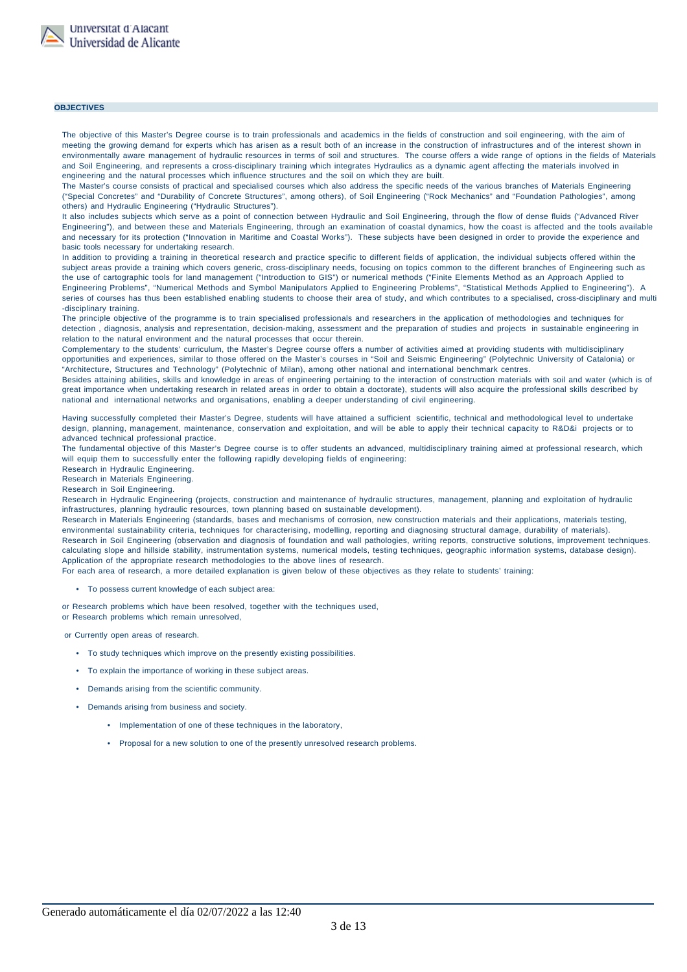

#### **OBJECTIVES**

The objective of this Master's Degree course is to train professionals and academics in the fields of construction and soil engineering, with the aim of meeting the growing demand for experts which has arisen as a result both of an increase in the construction of infrastructures and of the interest shown in environmentally aware management of hydraulic resources in terms of soil and structures. The course offers a wide range of options in the fields of Materials and Soil Engineering, and represents a cross-disciplinary training which integrates Hydraulics as a dynamic agent affecting the materials involved in engineering and the natural processes which influence structures and the soil on which they are built.

The Master's course consists of practical and specialised courses which also address the specific needs of the various branches of Materials Engineering ("Special Concretes" and "Durability of Concrete Structures", among others), of Soil Engineering ("Rock Mechanics" and "Foundation Pathologies", among others) and Hydraulic Engineering ("Hydraulic Structures").

It also includes subjects which serve as a point of connection between Hydraulic and Soil Engineering, through the flow of dense fluids ("Advanced River Engineering"), and between these and Materials Engineering, through an examination of coastal dynamics, how the coast is affected and the tools available and necessary for its protection ("Innovation in Maritime and Coastal Works"). These subjects have been designed in order to provide the experience and basic tools necessary for undertaking research.

In addition to providing a training in theoretical research and practice specific to different fields of application, the individual subjects offered within the subject areas provide a training which covers generic, cross-disciplinary needs, focusing on topics common to the different branches of Engineering such as the use of cartographic tools for land management ("Introduction to GIS") or numerical methods ("Finite Elements Method as an Approach Applied to Engineering Problems", "Numerical Methods and Symbol Manipulators Applied to Engineering Problems", "Statistical Methods Applied to Engineering"). A series of courses has thus been established enabling students to choose their area of study, and which contributes to a specialised, cross-disciplinary and multi -disciplinary training.

The principle objective of the programme is to train specialised professionals and researchers in the application of methodologies and techniques for detection , diagnosis, analysis and representation, decision-making, assessment and the preparation of studies and projects in sustainable engineering in relation to the natural environment and the natural processes that occur therein.

Complementary to the students' curriculum, the Master's Degree course offers a number of activities aimed at providing students with multidisciplinary opportunities and experiences, similar to those offered on the Master's courses in "Soil and Seismic Engineering" (Polytechnic University of Catalonia) or "Architecture, Structures and Technology" (Polytechnic of Milan), among other national and international benchmark centres.

Besides attaining abilities, skills and knowledge in areas of engineering pertaining to the interaction of construction materials with soil and water (which is of great importance when undertaking research in related areas in order to obtain a doctorate), students will also acquire the professional skills described by national and international networks and organisations, enabling a deeper understanding of civil engineering.

Having successfully completed their Master's Degree, students will have attained a sufficient scientific, technical and methodological level to undertake design, planning, management, maintenance, conservation and exploitation, and will be able to apply their technical capacity to R&D&i projects or to advanced technical professional practice.

The fundamental objective of this Master's Degree course is to offer students an advanced, multidisciplinary training aimed at professional research, which will equip them to successfully enter the following rapidly developing fields of engineering:

Research in Hydraulic Engineering.

Research in Materials Engineering.

Research in Soil Engineering.

Research in Hydraulic Engineering (projects, construction and maintenance of hydraulic structures, management, planning and exploitation of hydraulic infrastructures, planning hydraulic resources, town planning based on sustainable development).

Research in Materials Engineering (standards, bases and mechanisms of corrosion, new construction materials and their applications, materials testing, environmental sustainability criteria, techniques for characterising, modelling, reporting and diagnosing structural damage, durability of materials). Research in Soil Engineering (observation and diagnosis of foundation and wall pathologies, writing reports, constructive solutions, improvement techniques. calculating slope and hillside stability, instrumentation systems, numerical models, testing techniques, geographic information systems, database design). Application of the appropriate research methodologies to the above lines of research.

For each area of research, a more detailed explanation is given below of these objectives as they relate to students' training:

• To possess current knowledge of each subject area:

or Research problems which have been resolved, together with the techniques used,

or Research problems which remain unresolved,

or Currently open areas of research.

- To study techniques which improve on the presently existing possibilities.
- To explain the importance of working in these subject areas.
- Demands arising from the scientific community.
- Demands arising from business and society.
	- Implementation of one of these techniques in the laboratory,
	- Proposal for a new solution to one of the presently unresolved research problems.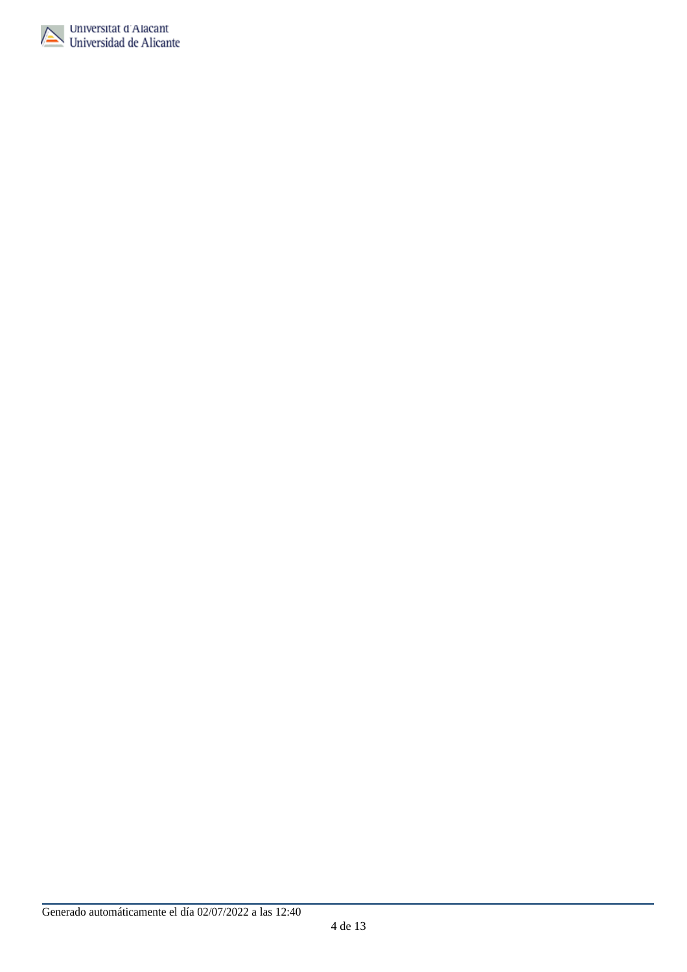

Universitat d'Alacant<br>Universidad de Alicante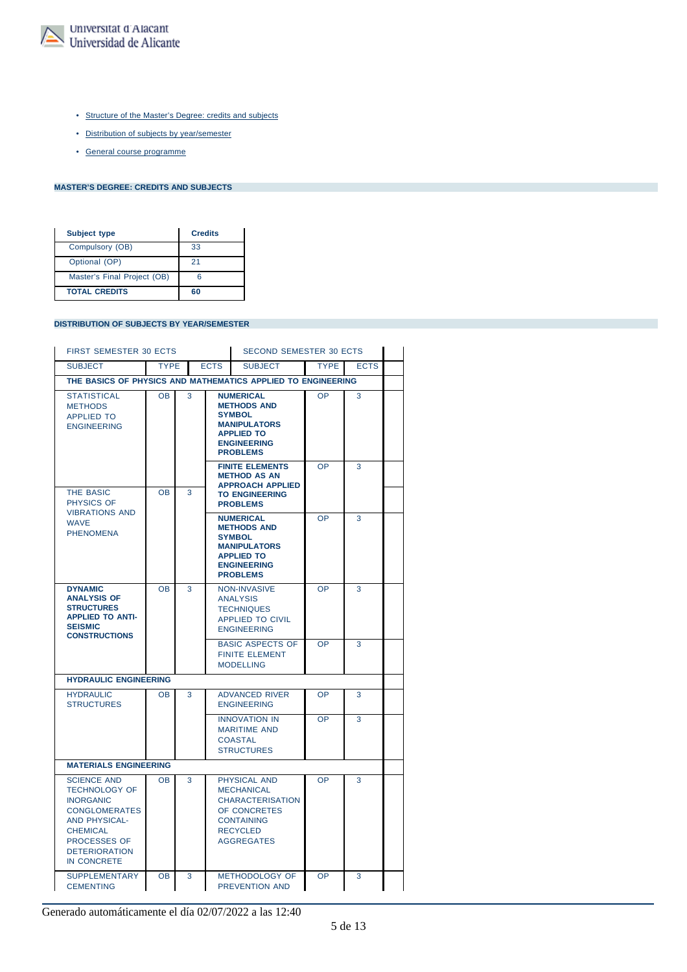

- [Structure of the Master's Degree: credits and subjects](https://cvnet.cpd.ua.es/webcvnet/PlanEstudio/traducirEstudioInfo.aspx?pidSolapa=11081#1)
- [Distribution of subjects by year/semester](https://cvnet.cpd.ua.es/webcvnet/PlanEstudio/traducirEstudioInfo.aspx?pidSolapa=11081#2)
- [General course programme](https://cvnet.cpd.ua.es/webcvnet/PlanEstudio/traducirEstudioInfo.aspx?pidSolapa=11081#3)

# **MASTER'S DEGREE: CREDITS AND SUBJECTS**

| <b>Subject type</b>         | <b>Credits</b> |
|-----------------------------|----------------|
| Compulsory (OB)             | 33             |
| Optional (OP)               | 21             |
| Master's Final Project (OB) |                |
| <b>TOTAL CREDITS</b>        | 60             |

# **DISTRIBUTION OF SUBJECTS BY YEAR/SEMESTER**

| FIRST SEMESTER 30 ECTS                                                                                                                                                                                 |                                                              | <b>SECOND SEMESTER 30 ECTS</b> |                                                                                                                                              |                                                                                                                                              |             |             |  |
|--------------------------------------------------------------------------------------------------------------------------------------------------------------------------------------------------------|--------------------------------------------------------------|--------------------------------|----------------------------------------------------------------------------------------------------------------------------------------------|----------------------------------------------------------------------------------------------------------------------------------------------|-------------|-------------|--|
| <b>SUBJECT</b>                                                                                                                                                                                         | <b>TYPE</b>                                                  |                                | <b>ECTS</b><br><b>SUBJECT</b>                                                                                                                |                                                                                                                                              | <b>TYPE</b> | <b>ECTS</b> |  |
|                                                                                                                                                                                                        | THE BASICS OF PHYSICS AND MATHEMATICS APPLIED TO ENGINEERING |                                |                                                                                                                                              |                                                                                                                                              |             |             |  |
| <b>STATISTICAL</b><br><b>METHODS</b><br><b>APPLIED TO</b><br><b>ENGINEERING</b>                                                                                                                        | <b>OB</b>                                                    | 3                              | <b>NUMERICAL</b><br><b>METHODS AND</b><br><b>SYMBOL</b><br><b>MANIPULATORS</b><br><b>APPLIED TO</b><br><b>ENGINEERING</b><br><b>PROBLEMS</b> |                                                                                                                                              | OP<br>OP    | 3           |  |
| THE BASIC                                                                                                                                                                                              | <b>OB</b>                                                    | 3                              |                                                                                                                                              | <b>FINITE ELEMENTS</b><br><b>METHOD AS AN</b><br><b>APPROACH APPLIED</b><br><b>TO ENGINEERING</b>                                            |             | 3           |  |
| PHYSICS OF                                                                                                                                                                                             |                                                              |                                |                                                                                                                                              | <b>PROBLEMS</b>                                                                                                                              |             |             |  |
| <b>VIBRATIONS AND</b><br><b>WAVE</b><br><b>PHENOMENA</b>                                                                                                                                               |                                                              |                                |                                                                                                                                              | <b>NUMERICAL</b><br><b>METHODS AND</b><br><b>SYMBOL</b><br><b>MANIPULATORS</b><br><b>APPLIED TO</b><br><b>ENGINEERING</b><br><b>PROBLEMS</b> | OP          | 3           |  |
| <b>DYNAMIC</b><br><b>ANALYSIS OF</b><br><b>STRUCTURES</b><br><b>APPLIED TO ANTI-</b><br><b>SEISMIC</b><br><b>CONSTRUCTIONS</b>                                                                         | OВ                                                           | 3                              |                                                                                                                                              | <b>NON-INVASIVE</b><br><b>ANALYSIS</b><br><b>TECHNIQUES</b><br><b>APPLIED TO CIVIL</b><br><b>ENGINEERING</b>                                 | OP          | 3           |  |
|                                                                                                                                                                                                        |                                                              |                                |                                                                                                                                              | <b>BASIC ASPECTS OF</b><br><b>FINITE ELEMENT</b><br><b>MODELLING</b>                                                                         | OP          | 3           |  |
| <b>HYDRAULIC ENGINEERING</b>                                                                                                                                                                           |                                                              |                                |                                                                                                                                              |                                                                                                                                              |             |             |  |
| <b>HYDRAULIC</b><br><b>STRUCTURES</b>                                                                                                                                                                  | OВ                                                           | 3                              |                                                                                                                                              | <b>ADVANCED RIVER</b><br><b>ENGINEERING</b>                                                                                                  | OP          | 3           |  |
|                                                                                                                                                                                                        |                                                              |                                |                                                                                                                                              | <b>INNOVATION IN</b><br><b>MARITIME AND</b><br><b>COASTAL</b><br><b>STRUCTURES</b>                                                           | OP          | 3           |  |
| <b>MATERIALS ENGINEERING</b>                                                                                                                                                                           |                                                              |                                |                                                                                                                                              |                                                                                                                                              |             |             |  |
| <b>SCIENCE AND</b><br><b>TECHNOLOGY OF</b><br><b>INORGANIC</b><br><b>CONGLOMERATES</b><br><b>AND PHYSICAL-</b><br><b>CHEMICAL</b><br><b>PROCESSES OF</b><br><b>DETERIORATION</b><br><b>IN CONCRETE</b> | <b>OB</b>                                                    | 3                              |                                                                                                                                              | PHYSICAL AND<br><b>MECHANICAL</b><br><b>CHARACTERISATION</b><br>OF CONCRETES<br><b>CONTAINING</b><br><b>RECYCLED</b><br><b>AGGREGATES</b>    | OP          | 3           |  |
| <b>SUPPLEMENTARY</b><br><b>CEMENTING</b>                                                                                                                                                               | <b>OB</b>                                                    | 3                              |                                                                                                                                              | <b>METHODOLOGY OF</b><br>PREVENTION AND                                                                                                      | OP          | 3           |  |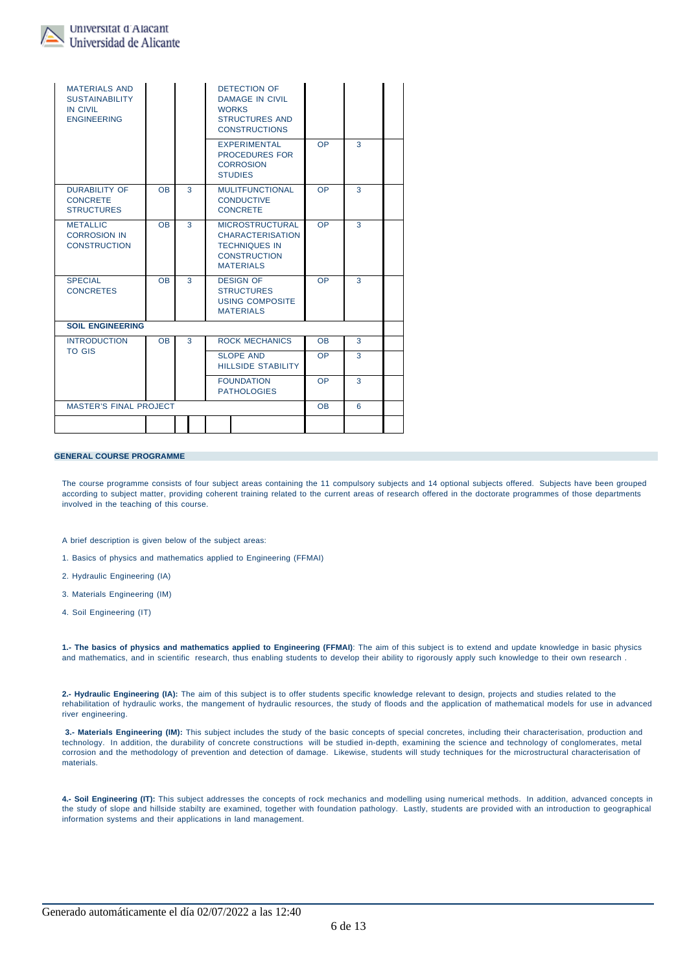

| <b>MATERIALS AND</b><br><b>SUSTAINABILITY</b><br>IN CIVIL<br><b>ENGINEERING</b> |                               |   | <b>DETECTION OF</b><br><b>DAMAGE IN CIVIL</b><br><b>WORKS</b><br><b>STRUCTURES AND</b><br><b>CONSTRUCTIONS</b>       |           |   |  |
|---------------------------------------------------------------------------------|-------------------------------|---|----------------------------------------------------------------------------------------------------------------------|-----------|---|--|
|                                                                                 |                               |   | <b>EXPERIMENTAL</b><br><b>PROCEDURES FOR</b><br><b>CORROSION</b><br><b>STUDIES</b>                                   | <b>OP</b> | 3 |  |
| <b>DURABILITY OF</b><br><b>CONCRETE</b><br><b>STRUCTURES</b>                    | <b>OB</b>                     | 3 | <b>MULITFUNCTIONAL</b><br><b>CONDUCTIVE</b><br><b>CONCRETE</b>                                                       | <b>OP</b> | 3 |  |
| <b>METALLIC</b><br><b>CORROSION IN</b><br><b>CONSTRUCTION</b>                   | <b>OB</b>                     | 3 | <b>MICROSTRUCTURAL</b><br><b>CHARACTERISATION</b><br><b>TECHNIQUES IN</b><br><b>CONSTRUCTION</b><br><b>MATERIALS</b> | OP        | 3 |  |
| <b>SPECIAL</b><br><b>CONCRETES</b>                                              | <b>OB</b>                     | 3 | <b>DESIGN OF</b><br><b>STRUCTURES</b><br><b>USING COMPOSITE</b><br><b>MATERIALS</b>                                  | <b>OP</b> | 3 |  |
| <b>SOIL ENGINEERING</b>                                                         |                               |   |                                                                                                                      |           |   |  |
| <b>INTRODUCTION</b>                                                             | <b>OB</b>                     | 3 | <b>ROCK MECHANICS</b>                                                                                                | <b>OB</b> | 3 |  |
| <b>TO GIS</b>                                                                   |                               |   | <b>SLOPE AND</b><br><b>HILLSIDE STABILITY</b>                                                                        | <b>OP</b> | 3 |  |
|                                                                                 |                               |   | <b>FOUNDATION</b><br><b>PATHOLOGIES</b>                                                                              | <b>OP</b> | 3 |  |
|                                                                                 | <b>MASTER'S FINAL PROJECT</b> |   |                                                                                                                      |           | 6 |  |
|                                                                                 |                               |   |                                                                                                                      |           |   |  |

#### **GENERAL COURSE PROGRAMME**

The course programme consists of four subject areas containing the 11 compulsory subjects and 14 optional subjects offered. Subjects have been grouped according to subject matter, providing coherent training related to the current areas of research offered in the doctorate programmes of those departments involved in the teaching of this course.

- A brief description is given below of the subject areas:
- 1. Basics of physics and mathematics applied to Engineering (FFMAI)
- 2. Hydraulic Engineering (IA)
- 3. Materials Engineering (IM)
- 4. Soil Engineering (IT)

**1.- The basics of physics and mathematics applied to Engineering (FFMAI)**: The aim of this subject is to extend and update knowledge in basic physics and mathematics, and in scientific research, thus enabling students to develop their ability to rigorously apply such knowledge to their own research .

**2.- Hydraulic Engineering (IA):** The aim of this subject is to offer students specific knowledge relevant to design, projects and studies related to the rehabilitation of hydraulic works, the mangement of hydraulic resources, the study of floods and the application of mathematical models for use in advanced river engineering.

**3.- Materials Engineering (IM):** This subject includes the study of the basic concepts of special concretes, including their characterisation, production and technology. In addition, the durability of concrete constructions will be studied in-depth, examining the science and technology of conglomerates, metal corrosion and the methodology of prevention and detection of damage. Likewise, students will study techniques for the microstructural characterisation of materials.

**4.- Soil Engineering (IT):** This subject addresses the concepts of rock mechanics and modelling using numerical methods. In addition, advanced concepts in the study of slope and hillside stabilty are examined, together with foundation pathology. Lastly, students are provided with an introduction to geographical information systems and their applications in land management.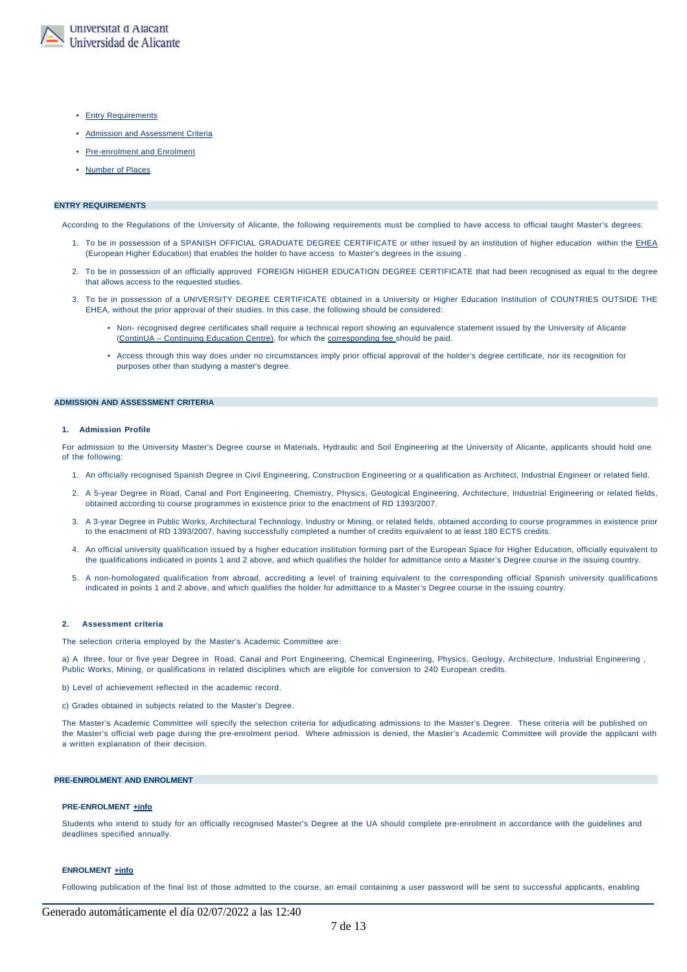

- **[Entry Requirements](file://babel/dvirtual/Aulas/Traduccion/SERVICIOS/EN%20CURSO/2011/INTERNOS/Gerencia%20UA/Gerencia%20Textos%20rev%20%20Tania/D026/Access/texto_repitido_2[1]_trad_draft.doc)**
- [Admission and Assessment Criteria](https://cvnet.cpd.ua.es/webcvnet/PlanEstudio/traducirEstudioInfo.aspx?pidSolapa=11101#2)
- [Pre-enrolment and Enrolment](https://cvnet.cpd.ua.es/webcvnet/PlanEstudio/traducirEstudioInfo.aspx?pidSolapa=11101#3)
- [Number of Places](https://cvnet.cpd.ua.es/webcvnet/PlanEstudio/planestudioPDF.aspx?plan=D026&caca=2020-21&lengua=E#4)

### **ENTRY REQUIREMENTS**

According to the Regulations of the University of Alicante, the following requirements must be complied to have access to official taught Master's degrees:

- 1. To be in possession of a SPANISH OFFICIAL GRADUATE DEGREE CERTIFICATE or other issued by an institution of higher education within the **[EHEA](http://economicas.ua.es/es/documentos/varios/paises-eees.pdf)** (European Higher Education) that enables the holder to have access to Master's degrees in the issuing .
- 2. To be in possession of an officially approved FOREIGN HIGHER EDUCATION DEGREE CERTIFICATE that had been recognised as equal to the degree that allows access to the requested studies.
- 3. To be in possession of a UNIVERSITY DEGREE CERTIFICATE obtained in a University or Higher Education Institution of COUNTRIES OUTSIDE THE EHEA, without the prior approval of their studies. In this case, the following should be considered:
	- Non- recognised degree certificates shall require a technical report showing an equivalence statement issued by the University of Alicante [\(ContinUA – Continuing Education Centre\)](http://web.ua.es/en/continua/continuous.html), for which the [corresponding fee s](http://web.ua.es/en/oia/access-pre-registration-and-registration/matricula/university-fees.html#evaluacion)hould be paid.
	- Access through this way does under no circumstances imply prior official approval of the holder's degree certificate, nor its recognition for purposes other than studying a master's degree.

### **ADMISSION AND ASSESSMENT CRITERIA**

#### **1. Admission Profile**

For admission to the University Master's Degree course in Materials, Hydraulic and Soil Engineering at the University of Alicante, applicants should hold one of the following:

- 1. An officially recognised Spanish Degree in Civil Engineering, Construction Engineering or a qualification as Architect, Industrial Engineer or related field.
- 2. A 5-year Degree in Road, Canal and Port Engineering, Chemistry, Physics, Geological Engineering, Architecture, Industrial Engineering or related fields, obtained according to course programmes in existence prior to the enactment of RD 1393/2007.
- 3. A 3-year Degree in Public Works, Architectural Technology, Industry or Mining, or related fields, obtained according to course programmes in existence prior to the enactment of RD 1393/2007, having successfully completed a number of credits equivalent to at least 180 ECTS credits.
- 4. An official university qualification issued by a higher education institution forming part of the European Space for Higher Education, officially equivalent to the qualifications indicated in points 1 and 2 above, and which qualifies the holder for admittance onto a Master's Degree course in the issuing country.
- 5. A non-homologated qualification from abroad, accrediting a level of training equivalent to the corresponding official Spanish university qualifications indicated in points 1 and 2 above, and which qualifies the holder for admittance to a Master's Degree course in the issuing country.

#### **2. Assessment criteria**

The selection criteria employed by the Master's Academic Committee are:

a) A three, four or five year Degree in Road, Canal and Port Engineering, Chemical Engineering, Physics, Geology, Architecture, Industrial Engineering , Public Works, Mining, or qualifications in related disciplines which are eligible for conversion to 240 European credits.

- b) Level of achievement reflected in the academic record.
- c) Grades obtained in subjects related to the Master's Degree.

The Master's Academic Committee will specify the selection criteria for adjudicating admissions to the Master's Degree. These criteria will be published on the Master's official web page during the pre-enrolment period. Where admission is denied, the Master's Academic Committee will provide the applicant with a written explanation of their decision.

# **PRE-ENROLMENT AND ENROLMENT**

### **PRE-ENROLMENT [+info](http://web.ua.es/en/continua/pre-registration.html)**

Students who intend to study for an officially recognised Master's Degree at the UA should complete pre-enrolment in accordance with the quidelines and deadlines specified annually.

#### **ENROLMENT [+info](http://web.ua.es/en/continua/registration.html)**

Following publication of the final list of those admitted to the course, an email containing a user password will be sent to successful applicants, enabling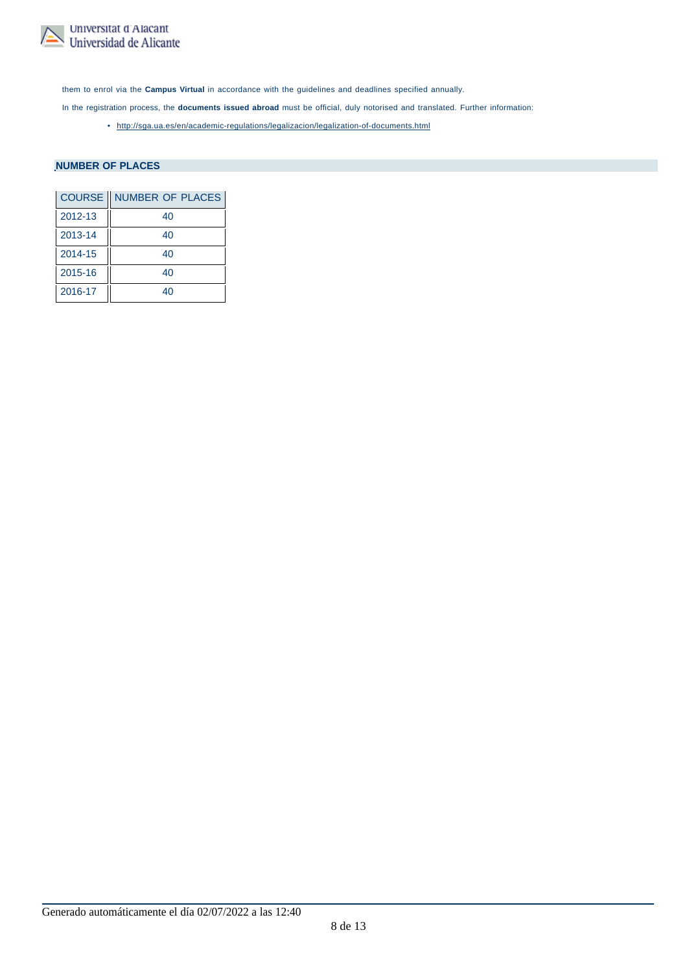

them to enrol via the **Campus Virtual** in accordance with the guidelines and deadlines specified annually.

In the registration process, the **documents issued abroad** must be official, duly notorised and translated. Further information:

• <http://sga.ua.es/en/academic-regulations/legalizacion/legalization-of-documents.html>

# **NUMBER OF PLACES**

|         | COURSE    NUMBER OF PLACES |
|---------|----------------------------|
| 2012-13 | 40                         |
| 2013-14 | 40                         |
| 2014-15 | 40                         |
| 2015-16 | 40                         |
| 2016-17 | 40                         |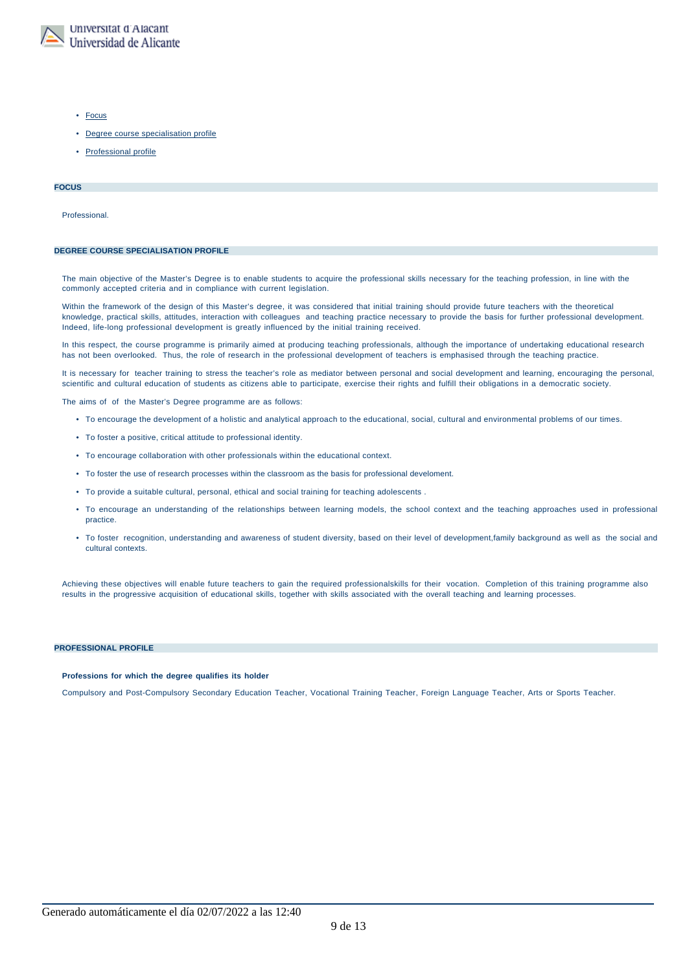

- [Focus](https://cvnet.cpd.ua.es/webcvnet/PlanEstudio/traducirEstudioInfo.aspx?pidSolapa=9003#1)
- [Degree course specialisation profile](https://cvnet.cpd.ua.es/webcvnet/PlanEstudio/traducirEstudioInfo.aspx?pidSolapa=9003#2)
- [Professional profile](https://cvnet.cpd.ua.es/webcvnet/PlanEstudio/traducirEstudioInfo.aspx?pidSolapa=9003#3)

## **FOCUS**

**Professional** 

## **DEGREE COURSE SPECIALISATION PROFILE**

The main objective of the Master's Degree is to enable students to acquire the professional skills necessary for the teaching profession, in line with the commonly accepted criteria and in compliance with current legislation.

Within the framework of the design of this Master's degree, it was considered that initial training should provide future teachers with the theoretical knowledge, practical skills, attitudes, interaction with colleagues and teaching practice necessary to provide the basis for further professional development. Indeed, life-long professional development is greatly influenced by the initial training received.

In this respect, the course programme is primarily aimed at producing teaching professionals, although the importance of undertaking educational research has not been overlooked. Thus, the role of research in the professional development of teachers is emphasised through the teaching practice.

It is necessary for teacher training to stress the teacher's role as mediator between personal and social development and learning, encouraging the personal, scientific and cultural education of students as citizens able to participate, exercise their rights and fulfill their obligations in a democratic society.

The aims of of the Master's Degree programme are as follows:

- To encourage the development of a holistic and analytical approach to the educational, social, cultural and environmental problems of our times.
- To foster a positive, critical attitude to professional identity.
- To encourage collaboration with other professionals within the educational context.
- To foster the use of research processes within the classroom as the basis for professional develoment.
- To provide a suitable cultural, personal, ethical and social training for teaching adolescents .
- To encourage an understanding of the relationships between learning models, the school context and the teaching approaches used in professional practice.
- To foster recognition, understanding and awareness of student diversity, based on their level of development,family background as well as the social and cultural contexts.

Achieving these objectives will enable future teachers to gain the required professionalskills for their vocation. Completion of this training programme also results in the progressive acquisition of educational skills, together with skills associated with the overall teaching and learning processes.

#### **PROFESSIONAL PROFILE**

#### **Professions for which the degree qualifies its holder**

Compulsory and Post-Compulsory Secondary Education Teacher, Vocational Training Teacher, Foreign Language Teacher, Arts or Sports Teacher.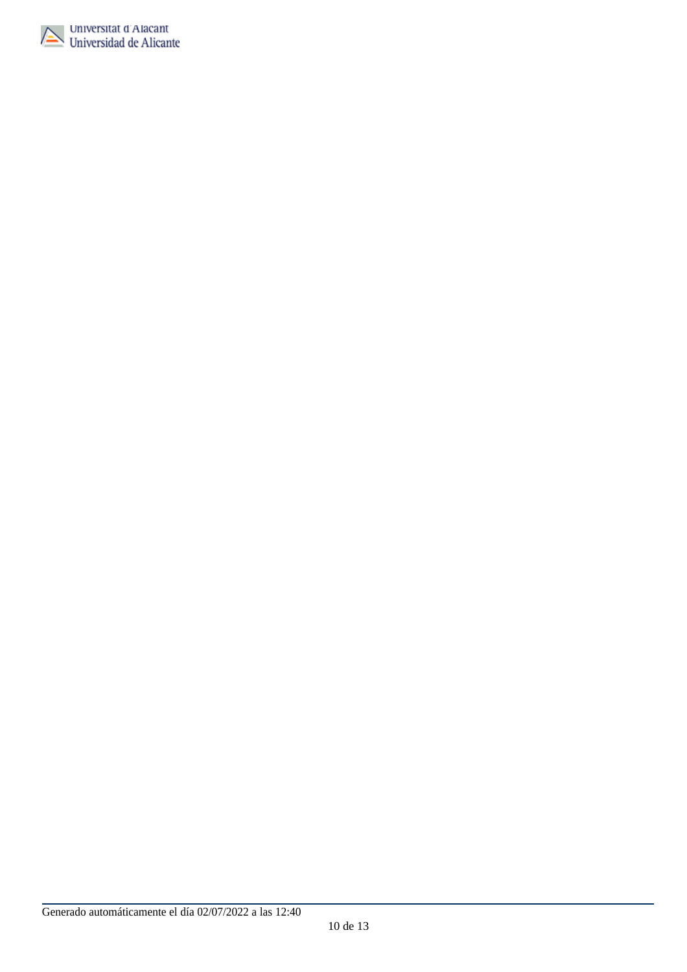

Universitat d'Alacant<br>Universidad de Alicante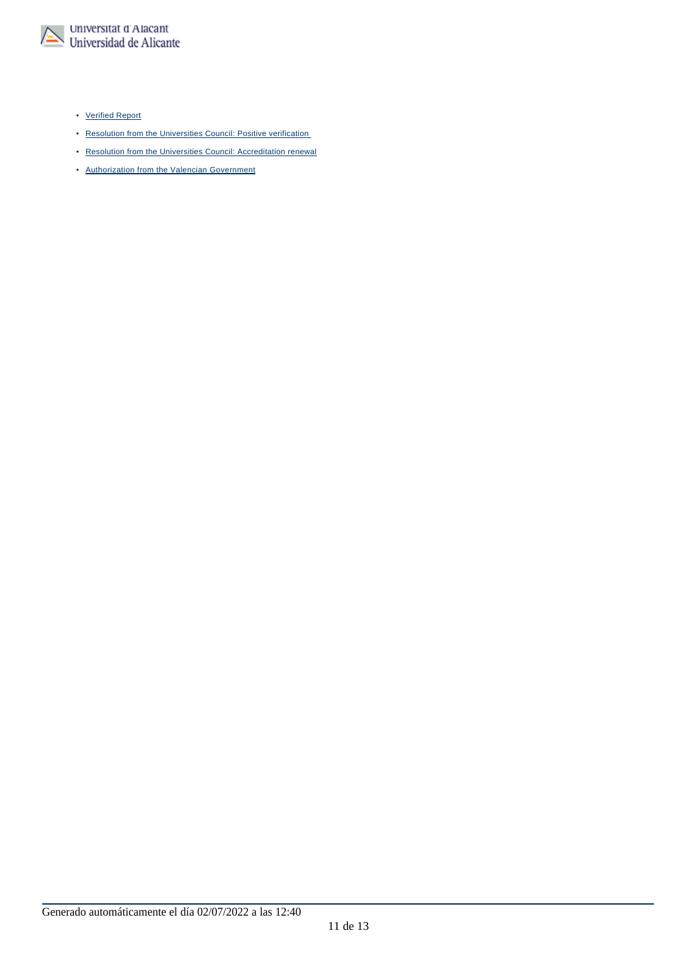

- [Verified Report](http://utc.ua.es/en/documentos/sgic/sgic-eps/master-s-programmes/memoria-verificada/d026-memoria-verificada.pdf)
- [Resolution from the Universities Council: Positive verification](http://utc.ua.es/en/documentos/sgic/sgic-eps/master-s-programmes/memoria-verificada/d026-resolucion-cu.pdf)
- [Resolution from the Universities Council: Accreditation renewal](http://utc.ua.es/en/documentos/sgic/sgic-eps/master-s-programmes/memoria-verificada/d026-renewal-accreditation-cu02.pdf)
- [Authorization from the Valencian Government](http://utc.ua.es/en/documentos/sgic/sgic-eps/master-s-programmes/memoria-verificada/d026-authorization-gv.pdf)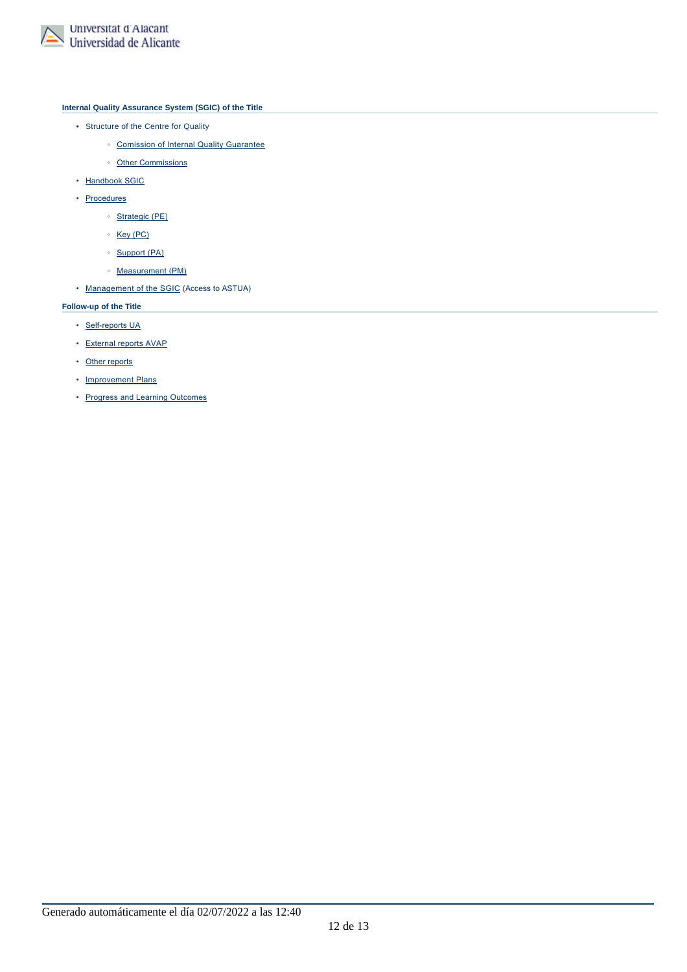

# **Internal Quality Assurance System (SGIC) of the Title**

- Structure of the Centre for Quality
	- [Comission of Internal Quality Guarantee](http://utc.ua.es/en/programs-quality/audit/eps/commission-on-guarantee-quality-internal-of-the-polytechnic-university-college.html)
	- [Other Commissions](http://utc.ua.es/en/programs-quality/audit/eps/other-committees.html)
- [Handbook SGIC](http://utc.ua.es/en/programs-quality/audit/eps/manual-sgic-polytechnic-university-college.html)
- [Procedures](http://utc.ua.es/en/programs-quality/audit/eps/procedures-sgic-polytechnic-university-college.html)
	- [Strategic \(PE\)](http://utc.ua.es/en/programs-quality/audit/eps/strategic-processes-sgic-polytechnic-university-college.html)
	- [Key \(PC\)](http://utc.ua.es/en/programs-quality/audit/eps/processes-key-sgic-polytechnic-university-college.html)
	- [Support \(PA\)](http://utc.ua.es/en/programs-quality/audit/eps/support-processes-sgic-polytechnic-university-college.html)
	- [Measurement \(PM\)](http://utc.ua.es/en/programs-quality/audit/eps/measurement-processes-sgic-polytechnic-university-college.html)
- [Management of the SGIC](http://cvnet3.cpd.ua.es/Astua/Account/LogOn?ReturnUrl=/Astua/) (Access to ASTUA)

### **Follow-up of the Title**

- [Self-reports UA](http://utc.ua.es/en/programs-quality/audit/eps/master-s-programmes/engineering-of-materials-water-and-land/materials-water-and-soil-engineering-self-reporting-ua.html)
- [External reports AVAP](http://utc.ua.es/en/programs-quality/audit/eps/master-s-programmes/engineering-of-materials-water-and-land/materials-water-and-soil-engineering-avap-external-reports.html)
- [Other reports](http://utc.ua.es/en/programs-quality/audit/eps/master-s-programmes/engineering-of-materials-water-and-land/materials-water-and-soil-engineering-other-reports.html)
- [Improvement Plans](http://utc.ua.es/en/programs-quality/audit/eps/master-s-programmes/engineering-of-materials-water-and-land/materials-water-and-soil-engineering-improvemen-plans.html)
- [Progress and Learning Outcomes](http://utc.ua.es/en/programs-quality/audit/progreso-y-resultado-del-aprendizaje.html)